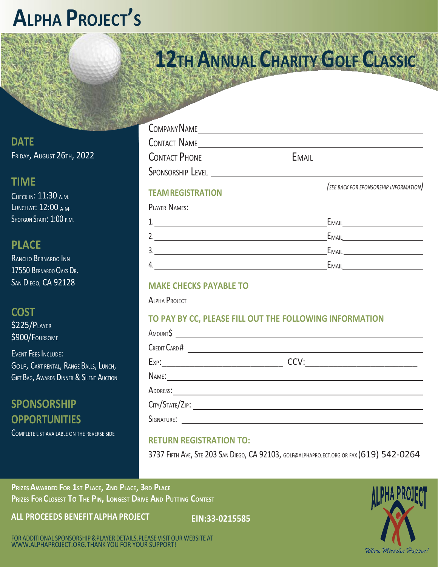# **ALPHA PROJECT'<sup>S</sup>**

**12TH ANNUAL CHARITY GOLF CLASSIC**

**DATE** FRIDAY, AUGUST 26TH, 2022

## **TIME**

CHECK IN: 11:30 A.M. LUNCH AT: 12:00 A.M. SHOTGUN START: 1:00 P.M.

## **PLACE**

RANCHO BERNARDO INN 17550 BERNARDO OAKS DR. SAN DIEGO, CA 92128

#### **COST**

\$225/PLAYER \$900/FOURSOME

EVENT FEES INCLUDE: GOLF, CART RENTAL, RANGE BALLS, LUNCH, GIFT BAG, AWARDS DINNER & SILENT AUCTION

## **SPONSORSHIP OPPORTUNITIES**

COMPLETE LIST AVAILABLE ON THE REVERSE SIDE

| COMPANY NAME         |              |  |
|----------------------|--------------|--|
| <b>CONTACT NAME</b>  |              |  |
| <b>CONTACT PHONE</b> | <b>EMAIL</b> |  |
| SPONSORSHIP LEVEL    |              |  |

#### **TEAMREGISTRATION**

*(SEE BACK FOR SPONSORSHIP INFORMATION)*

#### PLAYER NAMES:

|     | $E_{\text{MAIL}}$ |
|-----|-------------------|
|     | EMAIL             |
| ت   | EMAIL             |
| -4. | EMAIL             |

#### **MAKE CHECKS PAYABLE TO**

ALPHA PROJECT

#### **TO PAY BY CC, PLEASE FILL OUT THE FOLLOWING INFORMATION**

| AMOUNT\$                                                                                                                             |      |  |
|--------------------------------------------------------------------------------------------------------------------------------------|------|--|
| CREDIT CARD #                                                                                                                        |      |  |
|                                                                                                                                      | CCV: |  |
| NAME:                                                                                                                                |      |  |
| ADDRESS:                                                                                                                             |      |  |
| CITY/STATE/ZIP                                                                                                                       |      |  |
| SIGNATURE:<br><u> a shekara ta 1999 a shekara ta 1999 a shekara ta 1999 a shekara ta 1999 a shekara ta 1999 a shekara ta 1999 a </u> |      |  |
|                                                                                                                                      |      |  |

#### **RETURN REGISTRATION TO:**

3737 FIFTH AVE, STE 203 SAN DIEGO, CA 92103, [GOLF@ALPHAPROJECT.ORG OR FA](mailto:GOLF@ALPHAPROJECT.ORG)X (619) 542-0264

**PRIZES AWARDED FOR 1ST PLACE, 2ND PLACE, 3RD PLACE PRIZES FOR CLOSEST TO THE PIN, LONGEST DRIVE AND PUTTING CONTEST**

**ALL PROCEEDS BENEFIT ALPHA PROJECT EIN:33-0215585**